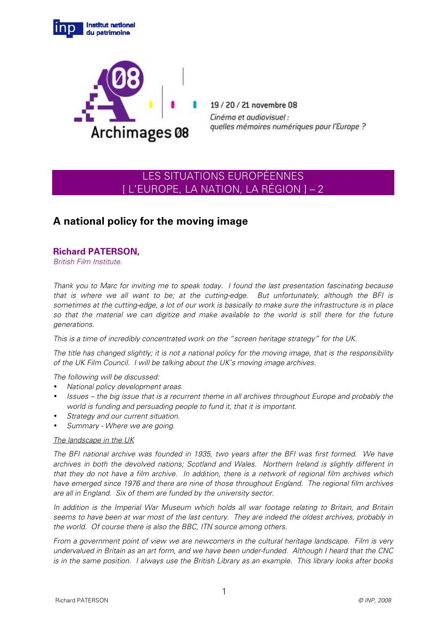



19/20/21 novembre 08 Cinéma et audiovisuel : quelles mémoires numériques pour l'Europe ?

# LES SITUATIONS EUROPÉENNES [ L'EUROPE, LA NATION, LA RÉGION ] – 2

# **A national policy for the moving image**

# **Richard PATERSON,**

British Film Institute.

Thank you to Marc for inviting me to speak today. I found the last presentation fascinating because that is where we all want to be; at the cutting-edge. But unfortunately, although the BFI is sometimes at the cutting-edge, a lot of our work is basically to make sure the infrastructure is in place so that the material we can digitize and make available to the world is still there for the future generations.

This is a time of incredibly concentrated work on the "screen heritage strategy" for the UK.

The title has changed slightly; it is not a national policy for the moving image, that is the responsibility of the UK Film Council. I will be talking about the UK's moving image archives.

The following will be discussed:

- National policy development areas.
- Issues the big issue that is a recurrent theme in all archives throughout Europe and probably the world is funding and persuading people to fund it, that it is important.
- Strategy and our current situation.
- Summary Where we are going.

# The landscape in the UK

The BFI national archive was founded in 1935, two years after the BFI was first formed. We have archives in both the devolved nations; Scotland and Wales. Northern Ireland is slightly different in that they do not have a film archive. In addition, there is a network of regional film archives which have emerged since 1976 and there are nine of those throughout England. The regional film archives are all in England. Six of them are funded by the university sector.

In addition is the Imperial War Museum which holds all war footage relating to Britain, and Britain seems to have been at war most of the last century. They are indeed the oldest archives, probably in the world. Of course there is also the BBC, ITN source among others.

From a government point of view we are newcomers in the cultural heritage landscape. Film is very undervalued in Britain as an art form, and we have been under-funded. Although I heard that the CNC is in the same position. I always use the British Library as an example. This library looks after books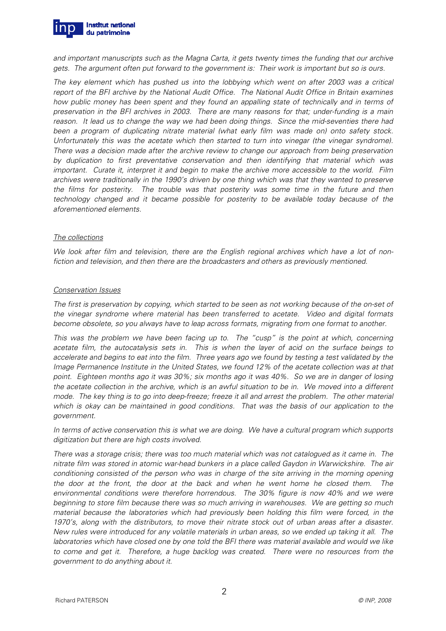

and important manuscripts such as the Magna Carta, it gets twenty times the funding that our archive gets. The argument often put forward to the government is: Their work is important but so is ours.

The key element which has pushed us into the lobbying which went on after 2003 was a critical report of the BFI archive by the National Audit Office. The National Audit Office in Britain examines how public money has been spent and they found an appalling state of technically and in terms of preservation in the BFI archives in 2003. There are many reasons for that; under-funding is a main reason. It lead us to change the way we had been doing things. Since the mid-seventies there had been a program of duplicating nitrate material (what early film was made on) onto safety stock. Unfortunately this was the acetate which then started to turn into vinegar (the vinegar syndrome). There was a decision made after the archive review to change our approach from being preservation by duplication to first preventative conservation and then identifying that material which was important. Curate it, interpret it and begin to make the archive more accessible to the world. Film archives were traditionally in the 1990's driven by one thing which was that they wanted to preserve the films for posterity. The trouble was that posterity was some time in the future and then technology changed and it became possible for posterity to be available today because of the aforementioned elements.

#### The collections

We look after film and television, there are the English regional archives which have a lot of nonfiction and television, and then there are the broadcasters and others as previously mentioned.

#### Conservation Issues

The first is preservation by copying, which started to be seen as not working because of the on-set of the vinegar syndrome where material has been transferred to acetate. Video and digital formats become obsolete, so you always have to leap across formats, migrating from one format to another.

This was the problem we have been facing up to. The "cusp" is the point at which, concerning acetate film, the autocatalysis sets in. This is when the layer of acid on the surface beings to accelerate and begins to eat into the film. Three years ago we found by testing a test validated by the Image Permanence Institute in the United States, we found 12% of the acetate collection was at that point. Eighteen months ago it was 30%; six months ago it was 40%. So we are in danger of losing the acetate collection in the archive, which is an awful situation to be in. We moved into a different mode. The key thing is to go into deep-freeze; freeze it all and arrest the problem. The other material which is okay can be maintained in good conditions. That was the basis of our application to the government.

In terms of active conservation this is what we are doing. We have a cultural program which supports digitization but there are high costs involved.

There was a storage crisis; there was too much material which was not catalogued as it came in. The nitrate film was stored in atomic war-head bunkers in a place called Gaydon in Warwickshire. The air conditioning consisted of the person who was in charge of the site arriving in the morning opening the door at the front, the door at the back and when he went home he closed them. The environmental conditions were therefore horrendous. The 30% figure is now 40% and we were beginning to store film because there was so much arriving in warehouses. We are getting so much material because the laboratories which had previously been holding this film were forced, in the 1970's, along with the distributors, to move their nitrate stock out of urban areas after a disaster. New rules were introduced for any volatile materials in urban areas, so we ended up taking it all. The laboratories which have closed one by one told the BFI there was material available and would we like to come and get it. Therefore, a huge backlog was created. There were no resources from the government to do anything about it.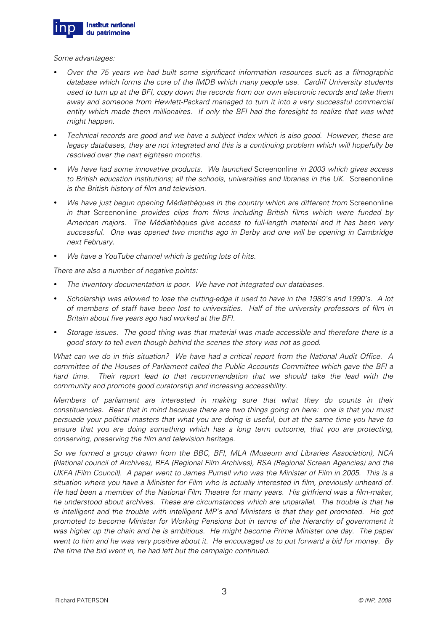

Some advantages:

- Over the 75 years we had built some significant information resources such as a filmographic database which forms the core of the IMDB which many people use. Cardiff University students used to turn up at the BFI, copy down the records from our own electronic records and take them away and someone from Hewlett-Packard managed to turn it into a very successful commercial entity which made them millionaires. If only the BFI had the foresight to realize that was what might happen.
- Technical records are good and we have a subject index which is also good. However, these are legacy databases, they are not integrated and this is a continuing problem which will hopefully be resolved over the next eighteen months.
- We have had some innovative products. We launched Screenonline in 2003 which gives access to British education institutions; all the schools, universities and libraries in the UK. Screenonline is the British history of film and television.
- We have just begun opening Médiathèques in the country which are different from Screenonline in that Screenonline provides clips from films including British films which were funded by American majors. The Médiathèques give access to full-length material and it has been very successful. One was opened two months ago in Derby and one will be opening in Cambridge next February.
- We have a YouTube channel which is getting lots of hits.

There are also a number of negative points:

- The inventory documentation is poor. We have not integrated our databases.
- Scholarship was allowed to lose the cutting-edge it used to have in the 1980's and 1990's. A lot of members of staff have been lost to universities. Half of the university professors of film in Britain about five years ago had worked at the BFI.
- Storage issues. The good thing was that material was made accessible and therefore there is a good story to tell even though behind the scenes the story was not as good.

What can we do in this situation? We have had a critical report from the National Audit Office. A committee of the Houses of Parliament called the Public Accounts Committee which gave the BFI a hard time. Their report lead to that recommendation that we should take the lead with the community and promote good curatorship and increasing accessibility.

Members of parliament are interested in making sure that what they do counts in their constituencies. Bear that in mind because there are two things going on here: one is that you must persuade your political masters that what you are doing is useful, but at the same time you have to ensure that you are doing something which has a long term outcome, that you are protecting, conserving, preserving the film and television heritage.

So we formed a group drawn from the BBC, BFI, MLA (Museum and Libraries Association), NCA (National council of Archives), RFA (Regional Film Archives), RSA (Regional Screen Agencies) and the UKFA (Film Council). A paper went to James Purnell who was the Minister of Film in 2005. This is a situation where you have a Minister for Film who is actually interested in film, previously unheard of. He had been a member of the National Film Theatre for many years. His girlfriend was a film-maker, he understood about archives. These are circumstances which are unparallel. The trouble is that he is intelligent and the trouble with intelligent MP's and Ministers is that they get promoted. He got promoted to become Minister for Working Pensions but in terms of the hierarchy of government it was higher up the chain and he is ambitious. He might become Prime Minister one day. The paper went to him and he was very positive about it. He encouraged us to put forward a bid for money. By the time the bid went in, he had left but the campaign continued.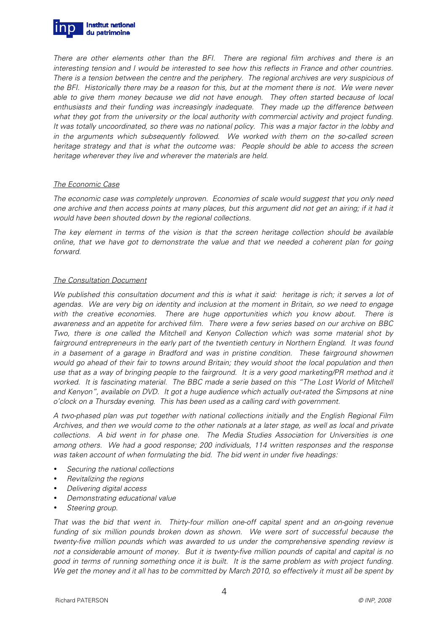

There are other elements other than the BFI. There are regional film archives and there is an interesting tension and I would be interested to see how this reflects in France and other countries. There is a tension between the centre and the periphery. The regional archives are very suspicious of the BFI. Historically there may be a reason for this, but at the moment there is not. We were never able to give them money because we did not have enough. They often started because of local enthusiasts and their funding was increasingly inadequate. They made up the difference between what they got from the university or the local authority with commercial activity and project funding. It was totally uncoordinated, so there was no national policy. This was a major factor in the lobby and in the arguments which subsequently followed. We worked with them on the so-called screen heritage strategy and that is what the outcome was: People should be able to access the screen heritage wherever they live and wherever the materials are held.

#### The Economic Case

The economic case was completely unproven. Economies of scale would suggest that you only need one archive and then access points at many places, but this argument did not get an airing; if it had it would have been shouted down by the regional collections.

The key element in terms of the vision is that the screen heritage collection should be available online, that we have got to demonstrate the value and that we needed a coherent plan for going forward.

#### The Consultation Document

We published this consultation document and this is what it said: heritage is rich; it serves a lot of agendas. We are very big on identity and inclusion at the moment in Britain, so we need to engage with the creative economies. There are huge opportunities which you know about. There is awareness and an appetite for archived film. There were a few series based on our archive on BBC Two, there is one called the Mitchell and Kenyon Collection which was some material shot by fairground entrepreneurs in the early part of the twentieth century in Northern England. It was found in a basement of a garage in Bradford and was in pristine condition. These fairground showmen would go ahead of their fair to towns around Britain; they would shoot the local population and then use that as a way of bringing people to the fairground. It is a very good marketing/PR method and it worked. It is fascinating material. The BBC made a serie based on this "The Lost World of Mitchell and Kenyon", available on DVD. It got a huge audience which actually out-rated the Simpsons at nine o'clock on a Thursday evening. This has been used as a calling card with government.

A two-phased plan was put together with national collections initially and the English Regional Film Archives, and then we would come to the other nationals at a later stage, as well as local and private collections. A bid went in for phase one. The Media Studies Association for Universities is one among others. We had a good response; 200 individuals, 114 written responses and the response was taken account of when formulating the bid. The bid went in under five headings:

- Securing the national collections
- Revitalizing the regions
- Delivering digital access
- Demonstrating educational value
- Steering group.

That was the bid that went in. Thirty-four million one-off capital spent and an on-going revenue funding of six million pounds broken down as shown. We were sort of successful because the twenty-five million pounds which was awarded to us under the comprehensive spending review is not a considerable amount of money. But it is twenty-five million pounds of capital and capital is no good in terms of running something once it is built. It is the same problem as with project funding. We get the money and it all has to be committed by March 2010, so effectively it must all be spent by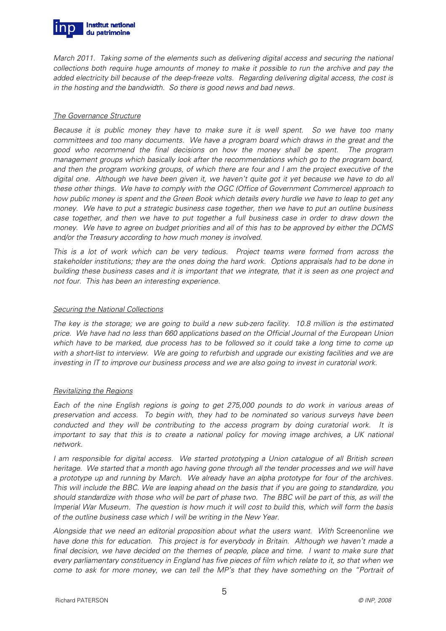

March 2011. Taking some of the elements such as delivering digital access and securing the national collections both require huge amounts of money to make it possible to run the archive and pay the added electricity bill because of the deep-freeze volts. Regarding delivering digital access, the cost is in the hosting and the bandwidth. So there is good news and bad news.

#### The Governance Structure

Because it is public money they have to make sure it is well spent. So we have too many committees and too many documents. We have a program board which draws in the great and the good who recommend the final decisions on how the money shall be spent. The program management groups which basically look after the recommendations which go to the program board, and then the program working groups, of which there are four and I am the project executive of the digital one. Although we have been given it, we haven't quite got it yet because we have to do all these other things. We have to comply with the OGC (Office of Government Commerce) approach to how public money is spent and the Green Book which details every hurdle we have to leap to get any money. We have to put a strategic business case together, then we have to put an outline business case together, and then we have to put together a full business case in order to draw down the money. We have to agree on budget priorities and all of this has to be approved by either the DCMS and/or the Treasury according to how much money is involved.

This is a lot of work which can be very tedious. Project teams were formed from across the stakeholder institutions; they are the ones doing the hard work. Options appraisals had to be done in building these business cases and it is important that we integrate, that it is seen as one project and not four. This has been an interesting experience.

#### Securing the National Collections

The key is the storage; we are going to build a new sub-zero facility. 10.8 million is the estimated price. We have had no less than 660 applications based on the Official Journal of the European Union which have to be marked, due process has to be followed so it could take a long time to come up with a short-list to interview. We are going to refurbish and upgrade our existing facilities and we are investing in IT to improve our business process and we are also going to invest in curatorial work.

# Revitalizing the Regions

Each of the nine English regions is going to get 275,000 pounds to do work in various areas of preservation and access. To begin with, they had to be nominated so various surveys have been conducted and they will be contributing to the access program by doing curatorial work. It is important to say that this is to create a national policy for moving image archives, a UK national network.

I am responsible for digital access. We started prototyping a Union catalogue of all British screen heritage. We started that a month ago having gone through all the tender processes and we will have a prototype up and running by March. We already have an alpha prototype for four of the archives. This will include the BBC. We are leaping ahead on the basis that if you are going to standardize, you should standardize with those who will be part of phase two. The BBC will be part of this, as will the Imperial War Museum. The question is how much it will cost to build this, which will form the basis of the outline business case which I will be writing in the New Year.

Alongside that we need an editorial proposition about what the users want. With Screenonline we have done this for education. This project is for everybody in Britain. Although we haven't made a final decision, we have decided on the themes of people, place and time. I want to make sure that every parliamentary constituency in England has five pieces of film which relate to it, so that when we come to ask for more money, we can tell the MP's that they have something on the "Portrait of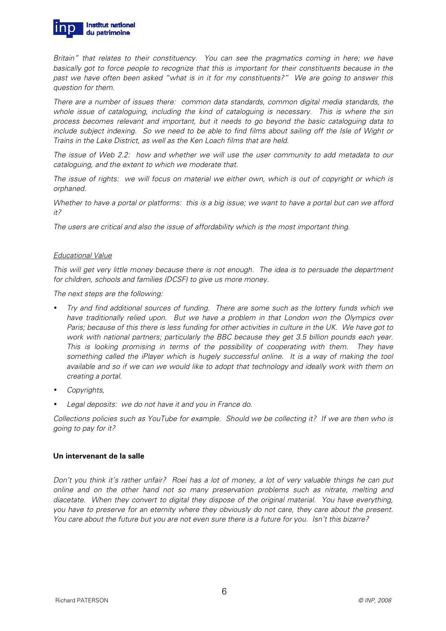

Britain" that relates to their constituency. You can see the pragmatics coming in here; we have basically got to force people to recognize that this is important for their constituents because in the past we have often been asked "what is in it for my constituents?" We are going to answer this question for them.

There are a number of issues there: common data standards, common digital media standards, the whole issue of cataloguing, including the kind of cataloguing is necessary. This is where the sin process becomes relevant and important, but it needs to go beyond the basic cataloguing data to include subject indexing. So we need to be able to find films about sailing off the Isle of Wight or Trains in the Lake District, as well as the Ken Loach films that are held.

The issue of Web 2.2: how and whether we will use the user community to add metadata to our cataloguing, and the extent to which we moderate that.

The issue of rights: we will focus on material we either own, which is out of copyright or which is orphaned.

Whether to have a portal or platforms: this is a big issue; we want to have a portal but can we afford it?

The users are critical and also the issue of affordability which is the most important thing.

# Educational Value

This will get very little money because there is not enough. The idea is to persuade the department for children, schools and families (DCSF) to give us more money.

The next steps are the following:

- Try and find additional sources of funding. There are some such as the lottery funds which we have traditionally relied upon. But we have a problem in that London won the Olympics over Paris; because of this there is less funding for other activities in culture in the UK. We have got to work with national partners; particularly the BBC because they get 3.5 billion pounds each year. This is looking promising in terms of the possibility of cooperating with them. They have something called the iPlayer which is hugely successful online. It is a way of making the tool available and so if we can we would like to adopt that technology and ideally work with them on creating a portal.
- Copyrights,
- Legal deposits: we do not have it and you in France do.

Collections policies such as YouTube for example. Should we be collecting it? If we are then who is going to pay for it?

# **Un intervenant de la salle**

Don't you think it's rather unfair? Roei has a lot of money, a lot of very valuable things he can put online and on the other hand not so many preservation problems such as nitrate, melting and diacetate. When they convert to digital they dispose of the original material. You have everything, you have to preserve for an eternity where they obviously do not care, they care about the present. You care about the future but you are not even sure there is a future for you. Isn't this bizarre?